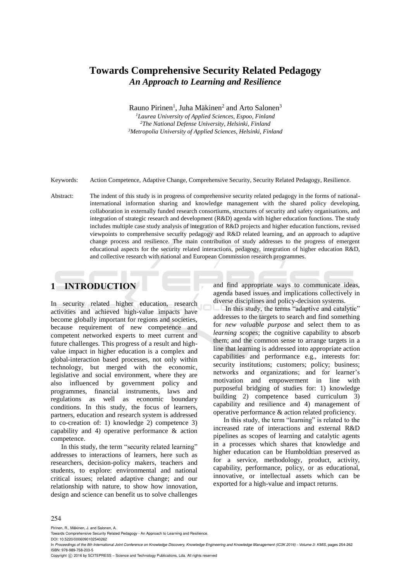# **Towards Comprehensive Security Related Pedagogy**  *An Approach to Learning and Resilience*

Rauno Pirinen<sup>1</sup>, Juha Mäkinen<sup>2</sup> and Arto Salonen<sup>3</sup>

*<sup>1</sup>Laurea University of Applied Sciences, Espoo, Finland <sup>2</sup>The National Defense University, Helsinki, Finland <sup>3</sup>Metropolia University of Applied Sciences, Helsinki, Finland* 

Keywords: Action Competence, Adaptive Change, Comprehensive Security, Security Related Pedagogy, Resilience.

Abstract: The indent of this study is in progress of comprehensive security related pedagogy in the forms of nationalinternational information sharing and knowledge management with the shared policy developing, collaboration in externally funded research consortiums, structures of security and safety organisations, and integration of strategic research and development (R&D) agenda with higher education functions. The study includes multiple case study analysis of integration of R&D projects and higher education functions, revised viewpoints to comprehensive security pedagogy and R&D related learning, and an approach to adaptive change process and resilience. The main contribution of study addresses to the progress of emergent educational aspects for the security related interactions, pedagogy, integration of higher education R&D, and collective research with national and European Commission research programmes.

# **1 INTRODUCTION**

In security related higher education, research activities and achieved high-value impacts have become globally important for regions and societies, because requirement of new competence and competent networked experts to meet current and future challenges. This progress of a result and highvalue impact in higher education is a complex and global-interaction based processes, not only within technology, but merged with the economic, legislative and social environment, where they are also influenced by government policy and programmes, financial instruments, laws and regulations as well as economic boundary conditions. In this study, the focus of learners, partners, education and research system is addressed to co-creation of: 1) knowledge 2) competence 3) capability and 4) operative performance & action competence.

In this study, the term "security related learning" addresses to interactions of learners, here such as researchers, decision-policy makers, teachers and students, to explore: environmental and national critical issues; related adaptive change; and our relationship with nature, to show how innovation, design and science can benefit us to solve challenges

and find appropriate ways to communicate ideas, agenda based issues and implications collectively in diverse disciplines and policy-decision systems.

In this study, the terms "adaptive and catalytic" addresses to the targets to search and find something for *new valuable purpose* and select them to as *learning scopes*; the cognitive capability to absorb them; and the common sense to arrange targets in a line that learning is addressed into appropriate action capabilities and performance e.g., interests for: security institutions; customers; policy; business; networks and organizations; and for learner's motivation and empowerment in line with purposeful bridging of studies for: 1) knowledge building 2) competence based curriculum 3) capability and resilience and 4) management of operative performance & action related proficiency.

In this study, the term "learning" is related to the increased rate of interactions and external R&D pipelines as scopes of learning and catalytic agents in a processes which shares that knowledge and higher education can be Humboldtian preserved as for a service, methodology, product, activity, capability, performance, policy, or as educational, innovative, or intellectual assets which can be exported for a high-value and impact returns.

#### 254

Pirinen, R., Mäkinen, J. and Salonen, A.

DOI: 10.5220/0006090102540262

In *Proceedings of the 8th International Joint Conference on Knowledge Discovery, Knowledge Engineering and Knowledge Management (IC3K 2016) - Volume 3: KMIS*, pages 254-262 ISBN: 978-989-758-203-5

Copyright © 2016 by SCITEPRESS - Science and Technology Publications, Lda. All rights reserved

Towards Comprehensive Security Related Pedagogy - An Approach to Learning and Resilience.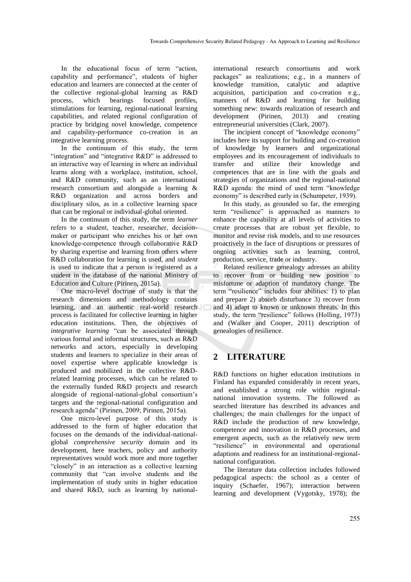In the educational focus of term "action, capability and performance", students of higher education and learners are connected at the center of the collective regional-global learning as R&D process, which bearings focused profiles, stimulations for learning, regional-national learning capabilities, and related regional configuration of practice by bridging novel knowledge, competence and capability-performance co-creation in an integrative learning process.

In the continuum of this study, the term "integration" and "integrative R&D" is addressed to an interactive way of learning in where an individual learns along with a workplace, institution, school, and R&D community, such as an international research consortium and alongside a learning & R&D organization and across borders and disciplinary silos, as in a collective learning space that can be regional or individual-global oriented.

In the continuum of this study, the term *learner* refers to a student, teacher, researcher, decisionmaker or participant who enriches his or her own knowledge-competence through collaborative R&D by sharing expertise and learning from others where R&D collaboration for learning is used, and *student* is used to indicate that a person is registered as a student in the database of the national Ministry of Education and Culture (Pirinen, 2015a).

One macro-level doctrine of study is that the research dimensions and methodology contains learning, and an authentic real-world research process is facilitated for collective learning in higher education institutions. Then, the objectives of *integrative learning* "can be associated through various formal and informal structures, such as R&D networks and actors, especially in developing students and learners to specialize in their areas of novel expertise where applicable knowledge is produced and mobilized in the collective R&Drelated learning processes, which can be related to the externally funded R&D projects and research alongside of regional-national-global consortium's targets and the regional-national configuration and research agenda" (Pirinen, 2009; Pirinen, 2015a).

One micro-level purpose of this study is addressed to the form of higher education that focuses on the demands of the individual-nationalglobal *comprehensive security* domain and its development, here teachers, policy and authority representatives would work more and more together "closely" in an interaction as a collective learning community that "can involve students and the implementation of study units in higher education and shared R&D, such as learning by national-

international research consortiums and work packages" as realizations; e.g., in a manners of knowledge transition, catalytic and adaptive acquisition, participation and co-creation e.g., manners of R&D and learning for building something new: towards realization of research and development (Pirinen, 2013) and creating entrepreneurial universities (Clark, 2007).

The incipient concept of "knowledge economy" includes here its support for building and co-creation of knowledge by learners and organizational employees and its encouragement of individuals to transfer and utilize their knowledge and competences that are in line with the goals and strategies of organizations and the regional-national R&D agenda: the mind of used term "knowledge economy" is described early in (Schumpeter, 1939).

In this study, as grounded so far, the emerging term "resilience" is approached as manners to enhance the capability at all levels of activities to create processes that are robust yet flexible, to monitor and revise risk models, and to use resources proactively in the face of disruptions or pressures of ongoing activities such as learning, control, production, service, trade or industry.

Related resilience genealogy adresses an ability to recover from or building new position to misfortune or adaption of mandatory change. The term "resilience" includes four abilities: 1) to plan and prepare 2) absorb disturbance 3) recover from and 4) adapt to known or unknown threats. In this study, the term "resilience" follows (Holling, 1973) and (Walker and Cooper, 2011) description of genealogies of resilience.

# **2 LITERATURE**

R&D functions on higher education institutions in Finland has expanded considerably in recent years, and established a strong role within regionalnational innovation systems. The followed as searched literature has described its advances and challenges; the main challenges for the impact of R&D include the production of new knowledge, competence and innovation in R&D processes, and emergent aspects, such as the relatively new term "resilience" in environmental and operational adaptions and readiness for an institutional-regionalnational configuration.

The literature data collection includes followed pedagogical aspects: the school as a center of inquiry (Schaefer, 1967); interaction between learning and development (Vygotsky, 1978); the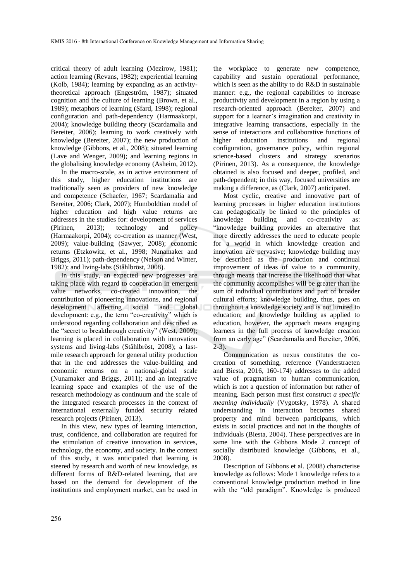critical theory of adult learning (Mezirow, 1981); action learning (Revans, 1982); experiential learning (Kolb, 1984); learning by expanding as an activitytheoretical approach (Engeström, 1987); situated cognition and the culture of learning (Brown, et al., 1989); metaphors of learning (Sfard, 1998); regional configuration and path-dependency (Harmaakorpi, 2004); knowledge building theory (Scardamalia and Bereiter, 2006); learning to work creatively with knowledge (Bereiter, 2007); the new production of knowledge (Gibbons, et al., 2008); situated learning (Lave and Wenger, 2009); and learning regions in the globalising knowledge economy (Asheim, 2012).

In the macro-scale, as in active environment of this study, higher education institutions are traditionally seen as providers of new knowledge and competence (Schaefer, 1967; Scardamalia and Bereiter, 2006; Clark, 2007); Humboldtian model of higher education and high value returns are addresses in the studies for: development of services (Pirinen, 2013); technology and policy (Harmaakorpi, 2004); co-creation as manner (West, 2009); value-building (Sawyer, 2008); economic returns (Etzkowitz, et al., 1998; Nunamaker and Briggs, 2011); path-dependency (Nelson and Winter, 1982); and living-labs (Ståhlbröst, 2008).

In this study, an expected new progresses are taking place with regard to cooperation in emergent value networks, co-created innovation, the contribution of pioneering innovations, and regional development affecting social and global development: e.g., the term "co-creativity" which is understood regarding collaboration and described as the "secret to breakthrough creativity" (West, 2009); learning is placed in collaboration with innovation systems and living-labs (Ståhlbröst, 2008); a lastmile research approach for general utility production that in the end addresses the value-building and economic returns on a national-global scale (Nunamaker and Briggs, 2011); and an integrative learning space and examples of the use of the research methodology as continuum and the scale of the integrated research processes in the context of international externally funded security related research projects (Pirinen, 2013).

In this view, new types of learning interaction, trust, confidence, and collaboration are required for the stimulation of creative innovation in services, technology, the economy, and society. In the context of this study, it was anticipated that learning is steered by research and worth of new knowledge, as different forms of R&D-related learning, that are based on the demand for development of the institutions and employment market, can be used in

the workplace to generate new competence, capability and sustain operational performance, which is seen as the ability to do R&D in sustainable manner: e.g., the regional capabilities to increase productivity and development in a region by using a research-oriented approach (Bereiter, 2007) and support for a learner's imagination and creativity in integrative learning transactions, especially in the sense of interactions and collaborative functions of higher education institutions and regional configuration, governance policy, within regional science-based clusters and strategy scenarios (Pirinen, 2013). As a consequence, the knowledge obtained is also focused and deeper, profiled, and path-dependent; in this way, focused universities are making a difference, as (Clark, 2007) anticipated.

Most cyclic, creative and innovative part of learning processes in higher education institutions can pedagogically be linked to the principles of knowledge building and co-creativity as: "knowledge building provides an alternative that more directly addresses the need to educate people for a world in which knowledge creation and innovation are pervasive; knowledge building may be described as the production and continual improvement of ideas of value to a community, through means that increase the likelihood that what the community accomplishes will be greater than the sum of individual contributions and part of broader cultural efforts; knowledge building, thus, goes on throughout a knowledge society and is not limited to education; and knowledge building as applied to education, however, the approach means engaging learners in the full process of knowledge creation from an early age" (Scardamalia and Bereiter, 2006, 2-3).

Communication as nexus constitutes the cocreation of something, reference (Vanderstraeten and Biesta, 2016, 160-174) addresses to the added value of pragmatism to human communication, which is not a question of information but rather of meaning. Each person must first construct *a specific meaning individually* (Vygotsky, 1978). A shared understanding in interaction becomes shared property and mind between participants, which exists in social practices and not in the thoughts of individuals (Biesta, 2004). These perspectives are in same line with the Gibbons Mode 2 concept of socially distributed knowledge (Gibbons, et al., 2008).

Description of Gibbons et al. (2008) characterise knowledge as follows: Mode 1 knowledge refers to a conventional knowledge production method in line with the "old paradigm". Knowledge is produced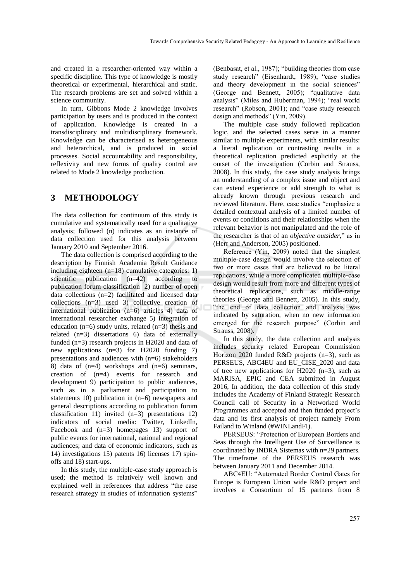and created in a researcher-oriented way within a specific discipline. This type of knowledge is mostly theoretical or experimental, hierarchical and static. The research problems are set and solved within a science community.

In turn, Gibbons Mode 2 knowledge involves participation by users and is produced in the context of application. Knowledge is created in a transdisciplinary and multidisciplinary framework. Knowledge can be characterised as heterogeneous and heterarchical, and is produced in social processes. Social accountability and responsibility, reflexivity and new forms of quality control are related to Mode 2 knowledge production.

### **3 METHODOLOGY**

The data collection for continuum of this study is cumulative and systematically used for a qualitative analysis; followed (n) indicates as an instance of data collection used for this analysis between January 2010 and September 2016.

The data collection is comprised according to the description by Finnish Academia Result Guidance including eighteen (n=18) cumulative categories: 1) scientific publication (n=42) according to publication forum classification 2) number of open data collections (n=2) facilitated and licensed data collections (n=3) used 3) collective creation of international publication (n=6) articles 4) data of international researcher exchange 5) integration of education ( $n=6$ ) study units, related ( $n=3$ ) thesis and related (n=3) dissertations 6) data of externally funded (n=3) research projects in H2020 and data of new applications (n=3) for H2020 funding 7) presentations and audiences with (n=6) stakeholders 8) data of (n=4) workshops and (n=6) seminars, creation of (n=4) events for research and development 9) participation to public audiences, such as in a parliament and participation to statements 10) publication in  $(n=6)$  newspapers and general descriptions according to publication forum classification 11) invited (n=3) presentations 12) indicators of social media: Twitter, LinkedIn, Facebook and (n=3) homepages 13) support of public events for international, national and regional audiences; and data of economic indicators, such as 14) investigations 15) patents 16) licenses 17) spinoffs and 18) start-ups.

In this study, the multiple-case study approach is used; the method is relatively well known and explained well in references that address "the case research strategy in studies of information systems"

(Benbasat, et al., 1987); "building theories from case study research" (Eisenhardt, 1989); "case studies and theory development in the social sciences" (George and Bennett, 2005); "qualitative data analysis" (Miles and Huberman, 1994); "real world research" (Robson, 2001); and "case study research design and methods" (Yin, 2009).

The multiple case study followed replication logic, and the selected cases serve in a manner similar to multiple experiments, with similar results: a literal replication or contrasting results in a theoretical replication predicted explicitly at the outset of the investigation (Corbin and Strauss, 2008). In this study, the case study analysis brings an understanding of a complex issue and object and can extend experience or add strength to what is already known through previous research and reviewed literature. Here, case studies "emphasize a detailed contextual analysis of a limited number of events or conditions and their relationships when the relevant behavior is not manipulated and the role of the researcher is that of an *objective outsider*," as in (Herr and Anderson, 2005) positioned.

Reference (Yin, 2009) noted that the simplest multiple-case design would involve the selection of two or more cases that are believed to be literal replications, while a more complicated multiple-case design would result from more and different types of theoretical replications, such as middle-range theories (George and Bennett, 2005). In this study, "the end of data collection and analysis was indicated by saturation, when no new information emerged for the research purpose" (Corbin and Strauss, 2008).

In this study, the data collection and analysis includes security related European Commission Horizon 2020 funded R&D projects (n=3), such as PERSEUS, ABC4EU and EU\_CISE\_2020 and data of tree new applications for H2020  $(n=3)$ , such as MARISA, EPIC and CEA submitted in August 2016, In addition, the data collection of this study includes the Academy of Finland Strategic Research Council call of Security in a Networked World Programmes and accepted and then funded project's data and its first analysis of project namely From Failand to Winland (#WINLandFI).

PERSEUS: "Protection of European Borders and Seas through the Intelligent Use of Surveillance is coordinated by INDRA Sistemas with n=29 partners. The timeframe of the PERSEUS research was between January 2011 and December 2014.

ABC4EU: "Automated Border Control Gates for Europe is European Union wide R&D project and involves a Consortium of 15 partners from 8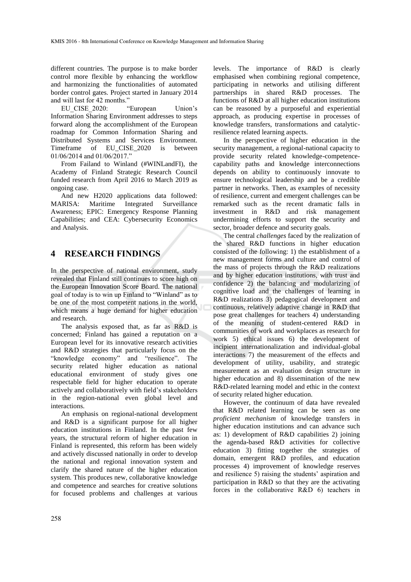different countries. The purpose is to make border control more flexible by enhancing the workflow and harmonizing the functionalities of automated border control gates. Project started in January 2014

and will last for 42 months."<br>EU CISE 2020: "European EU CISE 2020: "European Union's Information Sharing Environment addresses to steps forward along the accomplishment of the European roadmap for Common Information Sharing and Distributed Systems and Services Environment. Timeframe of EU CISE 2020 is between 01/06/2014 and 01/06/2017."

From Failand to Winland (#WINLandFI), the Academy of Finland Strategic Research Council funded research from April 2016 to March 2019 as ongoing case.

And new H2020 applications data followed: MARISA: Maritime Integrated Surveillance Awareness; EPIC: Emergency Response Planning Capabilities; and CEA: Cybersecurity Economics and Analysis.

## **4 RESEARCH FINDINGS**

In the perspective of national environment, study revealed that Finland still continues to score high on the European Innovation Score Board. The national goal of today is to win up Finland to "Winland" as to be one of the most competent nations in the world, which means a huge demand for higher education and research.

The analysis exposed that, as far as R&D is concerned; Finland has gained a reputation on a European level for its innovative research activities and R&D strategies that particularly focus on the "knowledge economy" and "resilience". The security related higher education as national educational environment of study gives one respectable field for higher education to operate actively and collaboratively with field's stakeholders in the region-national even global level and interactions.

An emphasis on regional-national development and R&D is a significant purpose for all higher education institutions in Finland. In the past few years, the structural reform of higher education in Finland is represented, this reform has been widely and actively discussed nationally in order to develop the national and regional innovation system and clarify the shared nature of the higher education system. This produces new, collaborative knowledge and competence and searches for creative solutions for focused problems and challenges at various

levels. The importance of R&D is clearly emphasised when combining regional competence, participating in networks and utilising different partnerships in shared R&D processes. The functions of R&D at all higher education institutions can be reasoned by a purposeful and experiential approach, as producing expertise in processes of knowledge transfers, transformations and catalyticresilience related learning aspects.

In the perspective of higher education in the security management, a regional-national capacity to provide security related knowledge-competencecapability paths and knowledge interconnections depends on ability to continuously innovate to ensure technological leadership and be a credible partner in networks. Then, as examples of necessity of resilience, current and emergent challenges can be remarked such as the recent dramatic falls in investment in R&D and risk management undermining efforts to support the security and sector, broader defence and security goals.

The central *challenges* faced by the realization of the shared R&D functions in higher education consisted of the following: 1) the establishment of a new management forms and culture and control of the mass of projects through the R&D realizations and by higher education institutions, with trust and confidence 2) the balancing and modularizing of cognitive load and the challenges of learning in R&D realizations 3) pedagogical development and continuous, relatively adaptive change in R&D that pose great challenges for teachers 4) understanding of the meaning of student-centered R&D in communities of work and workplaces as research for work 5) ethical issues 6) the development of incipient internationalization and individual-global interactions 7) the measurement of the effects and development of utility, usability, and strategic measurement as an evaluation design structure in higher education and 8) dissemination of the new R&D-related learning model and ethic in the context of security related higher education.

However, the continuum of data have revealed that R&D related learning can be seen as one *proficient mechanism* of knowledge transfers in higher education institutions and can advance such as: 1) development of R&D capabilities 2) joining the agenda-based R&D activities for collective education 3) fitting together the strategies of domain, emergent R&D profiles, and education processes 4) improvement of knowledge reserves and resilience 5) raising the students' aspiration and participation in R&D so that they are the activating forces in the collaborative R&D 6) teachers in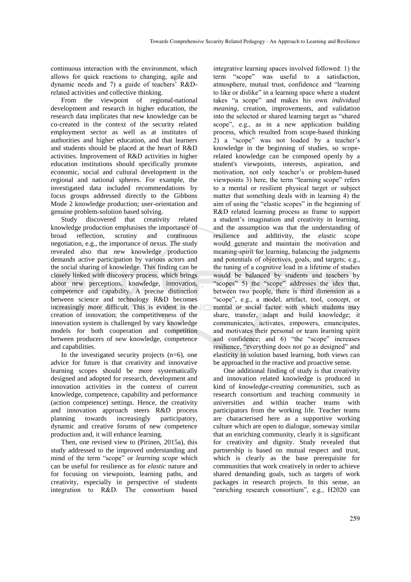continuous interaction with the environment, which allows for quick reactions to changing, agile and dynamic needs and 7) a guide of teachers' R&Drelated activities and collective thinking.

From the viewpoint of regional-national development and research in higher education, the research data implicates that new knowledge can be co-created in the context of the security related employment sector as well as at institutes of authorities and higher education, and that learners and students should be placed at the heart of R&D activities. Improvement of R&D activities in higher education institutions should specifically promote economic, social and cultural development in the regional and national spheres. For example, the investigated data included recommendations by focus groups addressed directly to the Gibbons Mode 2 knowledge production; user-orientation and genuine problem-solution based solving.

Study discovered that creativity related knowledge production emphasises the importance of broad reflection, scrutiny and continuous negotiation, e.g., the importance of nexus. The study revealed also that new knowledge production demands active participation by various actors and the social sharing of knowledge. This finding can be closely linked with discovery process, which brings about new perceptions, knowledge, innovation, competence and capability. A precise distinction between science and technology R&D becomes increasingly more difficult. This is evident in the creation of innovation; the competitiveness of the innovation system is challenged by vary knowledge models for both cooperation and competition between producers of new knowledge, competence and capabilities.

In the investigated security projects  $(n=6)$ , one advice for future is that creativity and innovative learning scopes should be more systematically designed and adopted for research, development and innovation activities in the context of current knowledge, competence, capability and performance (action competence) settings. Hence, the creativity and innovation approach steers R&D process planning towards increasingly participatory, dynamic and creative forums of new competence production and, it will enhance learning.

Then, one revised view to (Pirinen, 2015a), this study addressed to the improved understanding and mind of the term "scope" or *learning scope* which can be useful for resilience as for *elastic* nature and for focusing on viewpoints, learning paths, and creativity, especially in perspective of students integration to R&D. The consortium based

integrative learning spaces involved followed: 1) the term "scope" was useful to a satisfaction, atmosphere, mutual trust, confidence and "learning to like or dislike" in a learning space where a student takes "a scope" and makes his own *individual meaning*, creation, improvements, and validation into the selected or shared learning target as "shared scope", e.g., as in a new application building process, which resulted from scope-based thinking 2) a "scope" was not loaded by a teacher's knowledge in the beginning of studies, so scoperelated knowledge can be composed openly by a student's viewpoints, interests, aspiration, and motivation, not only teacher's or problem-based viewpoints 3) here, the term "learning scope" refers to a mental or resilient physical target or subject matter that something deals with in learning 4) the aim of using the "elastic scopes" in the beginning of R&D related learning process as frame to support a student's imagination and creativity in learning, and the assumption was that the understanding of resilience and additivity, the *elastic scope* would generate and maintain the motivation and meaning-spirit for learning, balancing the judgments and potentials of objectives, goals, and targets; e.g., the tuning of a cognitive load in a lifetime of studies would be balanced by students and teachers by "scopes" 5) the "scope" addresses the idea that, between two people, there is third dimension as a "scope", e.g., a model, artifact, tool, concept, or mental or social factor with which students may share, transfer, adapt and build knowledge; it communicates, activates, empowers, emancipates, and motivates their personal or team learning spirit and confidence; and 6) "the "scope" increases resilience, "everything does not go as designed" and elasticity in solution based learning, both views can be approached in the reactive and proactive sense.

One additional finding of study is that creativity and innovation related knowledge is produced in kind of *knowledge-creating communities*, such as research consortium and teaching community in universities and within teacher teams with participators from the working life. Teacher teams are characterised here as a supportive working culture which are open to dialogue, someway similar that an enriching community, clearly it is significant for creativity and dignity. Study revealed that partnership is based on mutual respect and trust, which is clearly as the base prerequisite for communities that work creatively in order to achieve shared demanding goals, such as targets of work packages in research projects. In this sense, an "enriching research consortium", e.g., H2020 can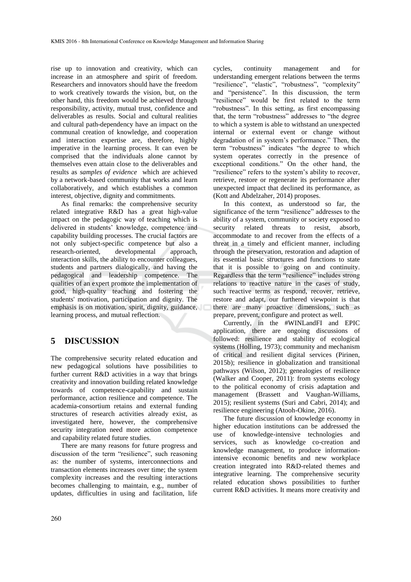rise up to innovation and creativity, which can increase in an atmosphere and spirit of freedom. Researchers and innovators should have the freedom to work creatively towards the vision, but, on the other hand, this freedom would be achieved through responsibility, activity, mutual trust, confidence and deliverables as results. Social and cultural realities and cultural path-dependency have an impact on the communal creation of knowledge, and cooperation and interaction expertise are, therefore, highly imperative in the learning process. It can even be comprised that the individuals alone cannot by themselves even attain close to the deliverables and results as *samples of evidence* which are achieved by a network-based community that works and learn collaboratively, and which establishes a common interest, objective, dignity and commitments.

As final remarks: the comprehensive security related integrative R&D has a great high-value impact on the pedagogic way of teaching which is delivered in students' knowledge, competence and capability building processes. The crucial factors are not only subject-specific competence but also a research-oriented, developmental approach, interaction skills, the ability to encounter colleagues, students and partners dialogically, and having the pedagogical and leadership competence. The qualities of an expert promote the implementation of good, high-quality teaching and fostering the students' motivation, participation and dignity. The emphasis is on motivation, spirit, dignity, guidance, learning process, and mutual reflection.

### **5 DISCUSSION**

The comprehensive security related education and new pedagogical solutions have possibilities to further current R&D activities in a way that brings creativity and innovation building related knowledge towards of competence-capability and sustain performance, action resilience and competence. The academia-consortium retains and external funding structures of research activities already exist, as investigated here, however, the comprehensive security integration need more action competence and capability related future studies.

There are many reasons for future progress and discussion of the term "resilience", such reasoning as: the number of systems, interconnections and transaction elements increases over time; the system complexity increases and the resulting interactions becomes challenging to maintain, e.g., number of updates, difficulties in using and facilitation, life

cycles, continuity management and for understanding emergent relations between the terms "resilience", "elastic", "robustness", "complexity" and "persistence". In this discussion, the term "resilience" would be first related to the term "robustness". In this setting, as first encompassing that, the term "robustness" addresses to "the degree to which a system is able to withstand an unexpected internal or external event or change without degradation of in system's performance." Then, the term "robustness" indicates "the degree to which system operates correctly in the presence of exceptional conditions." On the other hand, the "resilience" refers to the system's ability to recover, retrieve, restore or regenerate its performance after unexpected impact that declined its performance, as (Kott and Abdelzaher, 2014) proposes.

In this context, as understood so far, the significance of the term "resilience" addresses to the ability of a system, community or society exposed to security related threats to resist, absorb, accommodate to and recover from the effects of a threat in a timely and efficient manner, including through the preservation, restoration and adaption of its essential basic structures and functions to state that it is possible to going on and continuity. Regardless that the term "resilience" includes strong relations to reactive nature in the cases of study, such reactive terms as respond, recover, retrieve, restore and adapt, our furthered viewpoint is that there are many proactive dimensions, such as prepare, prevent, configure and protect as well.

Currently, in the #WINLandFI and EPIC application, there are ongoing discussions of followed: resilience and stability of ecological systems (Holling, 1973); community and mechanism of critical and resilient digital services (Pirinen, 2015b); resilience in globalization and transitional pathways (Wilson, 2012); genealogies of resilience (Walker and Cooper, 2011): from systems ecology to the political economy of crisis adaptation and management (Brassett and Vaughan-Williams, 2015); resilient systems (Suri and Cabri, 2014); and resilience engineering (Atooh-Okine, 2016).

The future discussion of knowledge economy in higher education institutions can be addressed the use of knowledge-intensive technologies and services, such as knowledge co-creation and knowledge management, to produce informationintensive economic benefits and new workplace creation integrated into R&D-related themes and integrative learning. The comprehensive security related education shows possibilities to further current R&D activities. It means more creativity and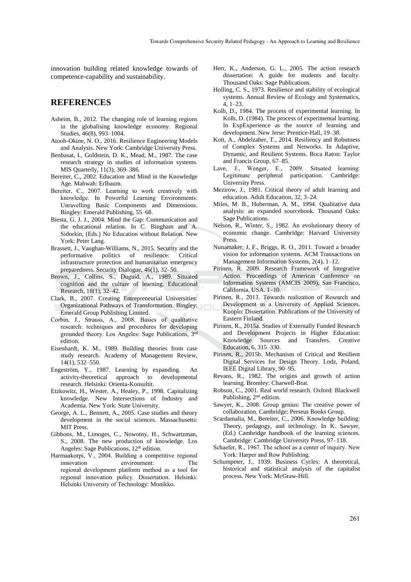innovation building related knowledge towards of competence-capability and sustainability.

#### **REFERENCES**

- Asheim, B., 2012. The changing role of learning regions in the globalising knowledge economy. Regional Studies, 46(8), 993–1004.
- Atooh-Okine, N. O., 2016. Resilience Engineering Models and Analysis. New York: Cambridge University Press.
- Benbasat, I., Goldstein, D. K., Mead, M., 1987. The case research strategy in studies of information systems. MIS Quarterly, 11(3), 369–386.
- Bereiter, C., 2002. Education and Mind in the Knowledge Age. Mahwah: Erlbaum.
- Bereiter, C., 2007. Learning to work creatively with knowledge. In Powerful Learning Environments: Unravelling Basic Components and Dimensions. Bingley: Emerald Publishing, 55–68.
- Biesta, G. J. J., 2004. Mind the Gap: Communication and the educational relation. In C. Bingham and A. Sidorkin, (Eds.) No Education without Relation. New York: Peter Lang.
- Brassett, J., Vaughan-Williams, N., 2015. Security and the performative politics of resilience: Critical infrastructure protection and humanitarian emergency preparedness. Security Dialogue, 46(1), 32–50.
- Brown, J., Collins, S., Duguid, A., 1989. Situated cognition and the culture of learning. Educational Research, 18(1), 32–42.
- Clark, B., 2007. Creating Entrepreneurial Universities: Organizational Pathways of Transformation. Bingley: Emerald Group Publishing Limited.
- Corbin, J., Strauss, A., 2008. Basics of qualitative research: techniques and procedures for developing grounded theory. Los Angeles: Sage Publications, 3rd edition.
- Eisenhardt, K. M., 1989. Building theories from case study research. Academy of Management Review, 14(1), 532–550.
- Engeström, Y., 1987. Learning by expanding. An activity-theoretical approach to developmental research. Helsinki: Orienta-Konsultit.
- Etzkowitz, H., Wester, A., Healey, P., 1998. Capitalizing knowledge. New Intersections of Industry and Academia. New York: State University.
- George, A. L., Bennett, A., 2005. Case studies and theory development in the social sciences. Massachusetts: MIT Press.
- Gibbons, M., Limoges, C., Nowotny, H., Schwartzman, S., 2008. The new production of knowledge. Los Angeles: Sage Publications, 12<sup>th</sup> edition.
- Harmaakorpi, V., 2004. Building a competitive regional innovation environment: The regional development platform method as a tool for regional innovation policy. Dissertation. Helsinki: Helsinki University of Technology: Monikko.
- Herr, K., Anderson, G. L., 2005. The action research dissertation: A guide for students and faculty. Thousand Oaks: Sage Publications.
- Holling, C. S., 1973. Resilience and stability of ecological systems. Annual Review of Ecology and Systematics,  $4, 1 - 23$
- Kolb, D., 1984. The process of experimental learning. In Kolb, D. (1984). The process of experimental learning. In ExpExperience as the source of learning and development. New Jerse: Prentice-Hall, 19–38.
- Kott, A., Abdelzaher, T., 2014. Resiliency and Robutness of Complex Systems and Networks. In Adaptive, Dynamic, and Resilient Systems. Boca Raton: Taylor and Francis Group, 67–85.
- Lave, J., Wenger, E., 2009. Situated learning: Legitimate peripheral participation. Cambridge: University Press.
- Mezirow, J., 1981. Critical theory of adult learning and education. Adult Education, 32, 3–24.
- Miles, M. B., Huberman, A. M., 1994. Qualitative data analysis: an expanded sourcebook. Thousand Oaks: Sage Publications.
- Nelson, R., Winter, S., 1982. An evolutionary theory of economic change. Cambridge: Harvard University Press.
- Nunamaker, J. F., Briggs, R. O., 2011. Toward a broader vision for information systems. ACM Transactions on Management Information Systems, 2(4), 1–12.
- Pirinen, R. 2009. Research Framework of Integrative Action. Proceedings of Americas Conference on Information Systems (AMCIS 2009), San Francisco, California, USA. 1–10.
- Pirinen, R., 2013. Towards realization of Research and Development in a University of Applied Sciences. Kuopio: Dissertation. Publications of the University of Eastern Finland.
- Pirinen, R., 2015a. Studies of Externally Funded Research and Development Projects in Higher Education: Knowledge Sources and Transfers. Creative Education, 6, 315–330.
- Pirinen, R., 2015b. Mechanism of Critical and Resilient Digital Services for Design Theory. Lodz, Poland, IEEE Digital Library, 90–95.
- Revans, R., 1982. The origins and growth of action learning. Bromley: Charwell-Brat.
- Robson, C., 2001. Real world research. Oxford: Blackwell Publishing, 2<sup>nd</sup> edition.
- Sawyer, K., 2008. Group genius: The creative power of collaboration. Cambridge: Perseus Books Group.
- Scardamalia, M., Bereiter, C., 2006. Knowledge building: Theory, pedagogy, and technology. In K. Sawyer, (Ed.) Cambridge handbook of the learning sciences. Cambridge: Cambridge University Press, 97–118.
- Schaefer, R., 1967. The school as a center of inquiry. New York: Harper and Row Publishing.
- Schumpeter, J., 1939. Business Cycles: A theoretical, historical and statistical analysis of the capitalist process. New York: McGraw-Hill.